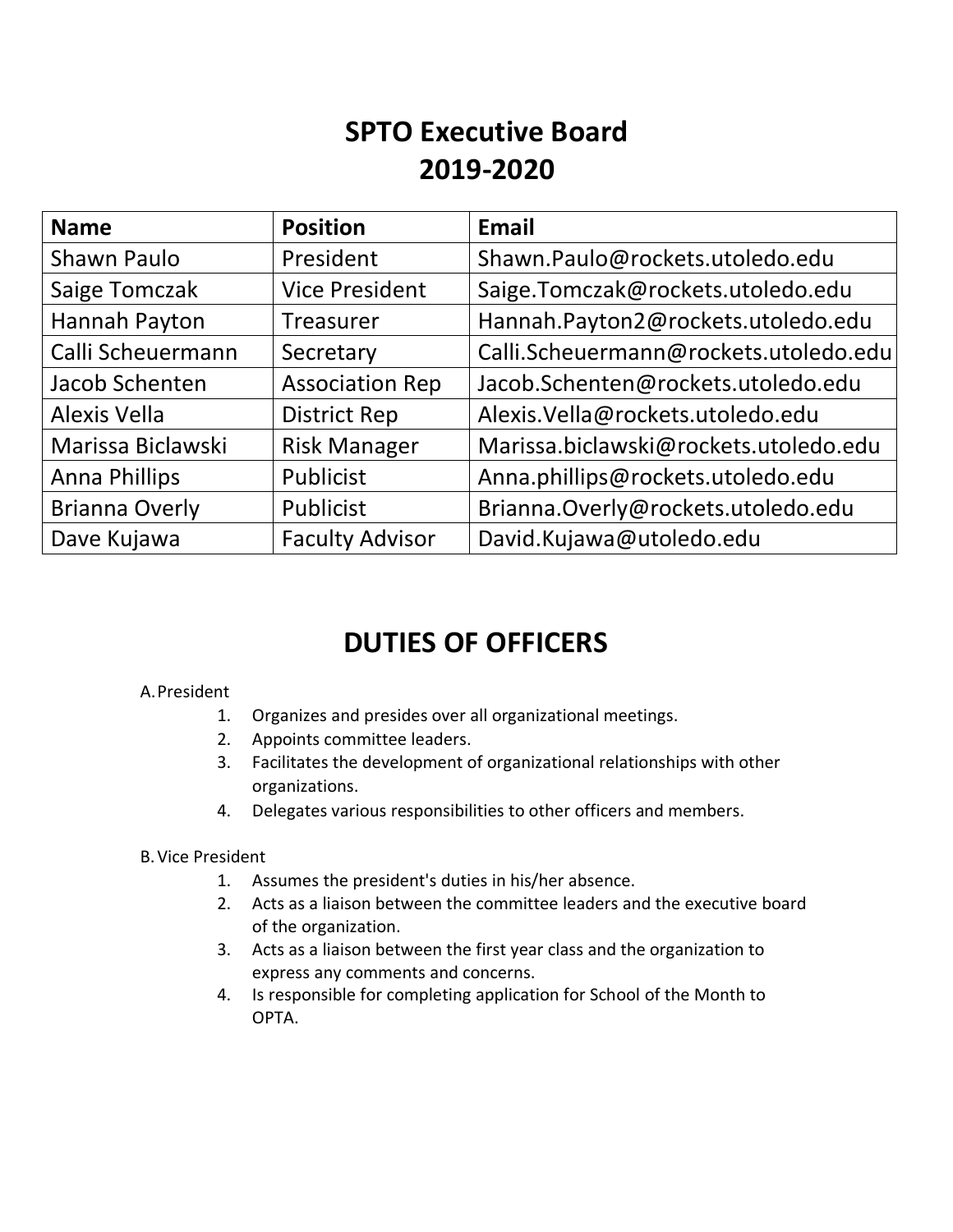# **SPTO Executive Board 2019-2020**

| <b>Name</b>           | <b>Position</b>        | <b>Email</b>                          |
|-----------------------|------------------------|---------------------------------------|
| Shawn Paulo           | President              | Shawn.Paulo@rockets.utoledo.edu       |
| Saige Tomczak         | <b>Vice President</b>  | Saige.Tomczak@rockets.utoledo.edu     |
| Hannah Payton         | Treasurer              | Hannah.Payton2@rockets.utoledo.edu    |
| Calli Scheuermann     | Secretary              | Calli.Scheuermann@rockets.utoledo.edu |
| Jacob Schenten        | <b>Association Rep</b> | Jacob.Schenten@rockets.utoledo.edu    |
| <b>Alexis Vella</b>   | <b>District Rep</b>    | Alexis.Vella@rockets.utoledo.edu      |
| Marissa Biclawski     | <b>Risk Manager</b>    | Marissa.biclawski@rockets.utoledo.edu |
| <b>Anna Phillips</b>  | Publicist              | Anna.phillips@rockets.utoledo.edu     |
| <b>Brianna Overly</b> | Publicist              | Brianna.Overly@rockets.utoledo.edu    |
| Dave Kujawa           | <b>Faculty Advisor</b> | David.Kujawa@utoledo.edu              |

# **DUTIES OF OFFICERS**

## A.President

- 1. Organizes and presides over all organizational meetings.
- 2. Appoints committee leaders.
- 3. Facilitates the development of organizational relationships with other organizations.
- 4. Delegates various responsibilities to other officers and members.

#### B.Vice President

- 1. Assumes the president's duties in his/her absence.
- 2. Acts as a liaison between the committee leaders and the executive board of the organization.
- 3. Acts as a liaison between the first year class and the organization to express any comments and concerns.
- 4. Is responsible for completing application for School of the Month to OPTA.